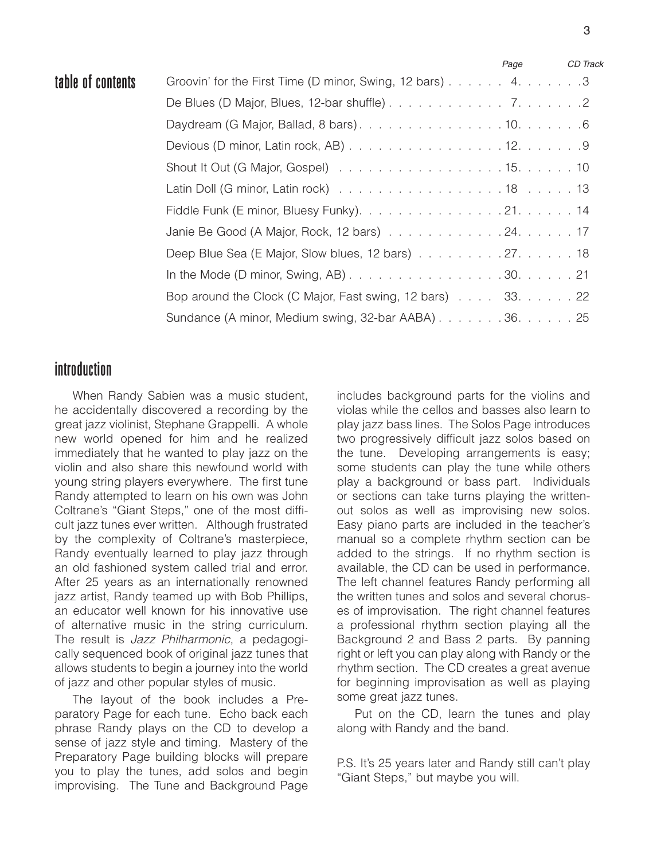|                   |                                                                                                         | Page | CD Track |
|-------------------|---------------------------------------------------------------------------------------------------------|------|----------|
| table of contents | Groovin' for the First Time (D minor, Swing, 12 bars) 4. 3                                              |      |          |
|                   |                                                                                                         |      |          |
|                   |                                                                                                         |      |          |
|                   |                                                                                                         |      |          |
|                   |                                                                                                         |      |          |
|                   |                                                                                                         |      |          |
|                   |                                                                                                         |      |          |
|                   |                                                                                                         |      |          |
|                   | Deep Blue Sea (E Major, Slow blues, 12 bars) 27. 18                                                     |      |          |
|                   | In the Mode (D minor, Swing, AB) $\ldots \ldots \ldots \ldots \ldots \ldots \ldots 30 \ldots \ldots 21$ |      |          |
|                   | Bop around the Clock (C Major, Fast swing, 12 bars) 33. 22                                              |      |          |
|                   | Sundance (A minor, Medium swing, 32-bar AABA) 36. 25                                                    |      |          |

## introduction

When Randy Sabien was a music student, he accidentally discovered a recording by the great jazz violinist, Stephane Grappelli. A whole new world opened for him and he realized immediately that he wanted to play jazz on the violin and also share this newfound world with young string players everywhere. The first tune Randy attempted to learn on his own was John Coltrane's "Giant Steps," one of the most difficult jazz tunes ever written. Although frustrated by the complexity of Coltrane's masterpiece, Randy eventually learned to play jazz through an old fashioned system called trial and error. After 25 years as an internationally renowned jazz artist, Randy teamed up with Bob Phillips, an educator well known for his innovative use of alternative music in the string curriculum. The result is *Jazz Philharmonic*, a pedagogically sequenced book of original jazz tunes that allows students to begin a journey into the world of jazz and other popular styles of music.

The layout of the book includes a Preparatory Page for each tune. Echo back each phrase Randy plays on the CD to develop a sense of jazz style and timing. Mastery of the Preparatory Page building blocks will prepare you to play the tunes, add solos and begin improvising. The Tune and Background Page

includes background parts for the violins and violas while the cellos and basses also learn to play jazz bass lines. The Solos Page introduces two progressively difficult jazz solos based on the tune. Developing arrangements is easy; some students can play the tune while others play a background or bass part. Individuals or sections can take turns playing the writtenout solos as well as improvising new solos. Easy piano parts are included in the teacher's manual so a complete rhythm section can be added to the strings. If no rhythm section is available, the CD can be used in performance. The left channel features Randy performing all the written tunes and solos and several choruses of improvisation. The right channel features a professional rhythm section playing all the Background 2 and Bass 2 parts. By panning right or left you can play along with Randy or the rhythm section. The CD creates a great avenue for beginning improvisation as well as playing some great jazz tunes.

Put on the CD, learn the tunes and play along with Randy and the band.

P.S. It's 25 years later and Randy still can't play "Giant Steps," but maybe you will.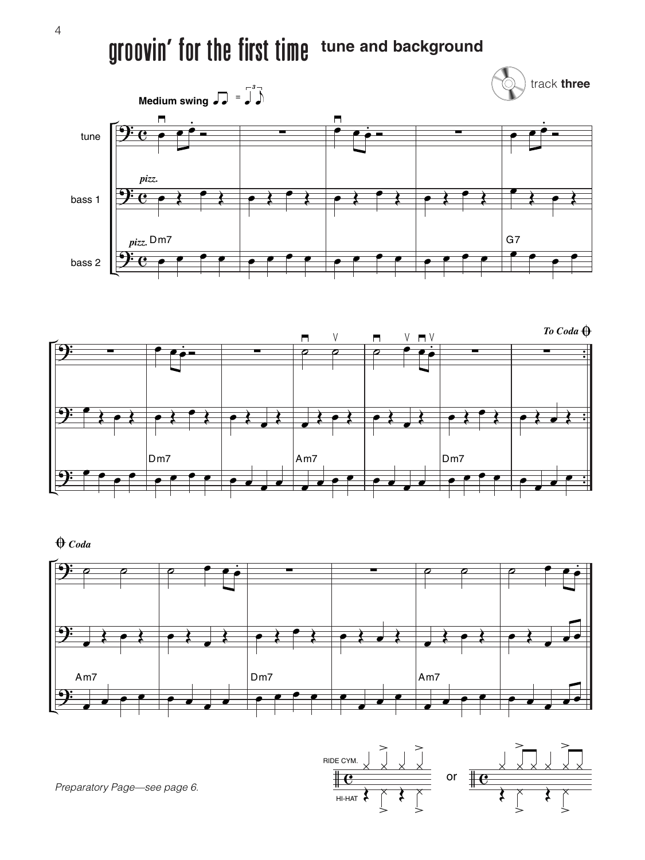## groovin' for the first time **tune and background**





 $\bigoplus$  *Coda* 





*Preparatory Page—see page 6.*